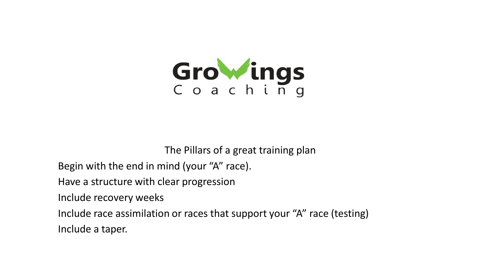

The Pillars of a great training plan

Begin with the end in mind (your "A" race).

Have a structure with clear progression

Include recovery weeks

Include race assimilation or races that support your "A" race (testing) Include a taper.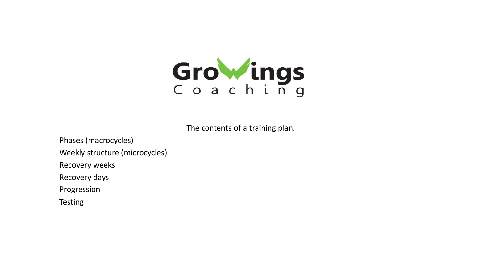

The contents of a training plan.

Phases (macrocycles) Weekly structure (microcycles) Recovery weeks Recovery days Progression

Testing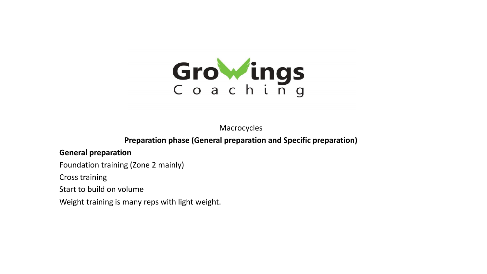

Macrocycles

**Preparation phase (General preparation and Specific preparation)**

#### **General preparation**

Foundation training (Zone 2 mainly)

Cross training

Start to build on volume

Weight training is many reps with light weight.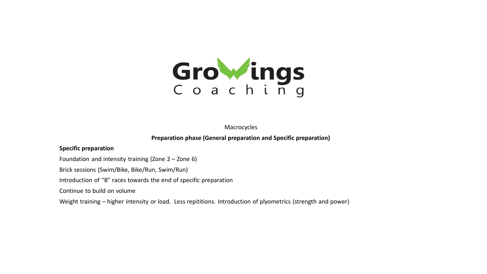

Macrocycles

**Preparation phase (General preparation and Specific preparation)**

#### **Specific preparation**

Foundation and intensity training (Zone 2 – Zone 6)

Brick sessions (Swim/Bike, Bike/Run, Swim/Run)

Introduction of "B" races towards the end of specific preparation

Continue to build on volume

Weight training – higher intensity or load. Less repititions. Introduction of plyometrics (strength and power)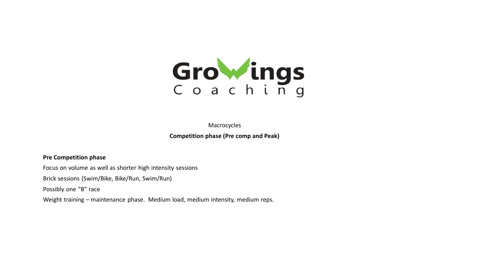

Macrocycles **Competition phase (Pre comp and Peak)**

#### **Pre Competition phase**

Focus on volume as well as shorter high intensity sessions

Brick sessions (Swim/Bike, Bike/Run, Swim/Run)

Possibly one "B" race

Weight training – maintenance phase. Medium load, medium intensity, medium reps.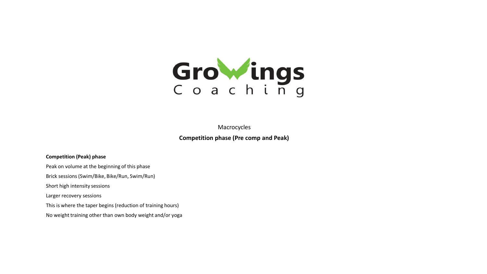

Macrocycles

**Competition phase (Pre comp and Peak)**

#### **Competition (Peak) phase**

Peak on volume at the beginning of this phase

Brick sessions (Swim/Bike, Bike/Run, Swim/Run)

Short high intensity sessions

Larger recovery sessions

This is where the taper begins (reduction of training hours)

No weight training other than own body weight and/or yoga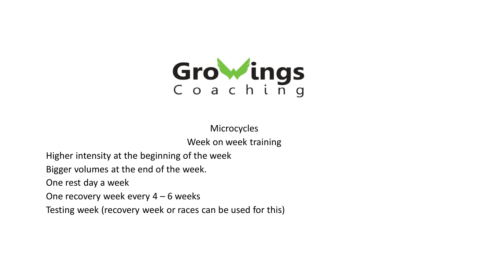

Microcycles Week on week training

Higher intensity at the beginning of the week

Bigger volumes at the end of the week.

One rest day a week

One recovery week every  $4 - 6$  weeks

Testing week (recovery week or races can be used for this)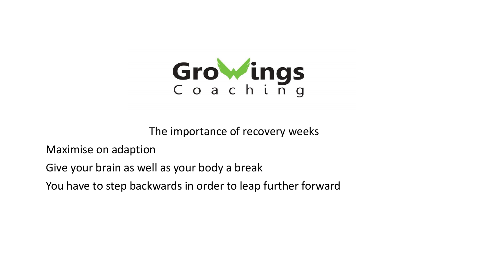

The importance of recovery weeks

Maximise on adaption

Give your brain as well as your body a break

You have to step backwards in order to leap further forward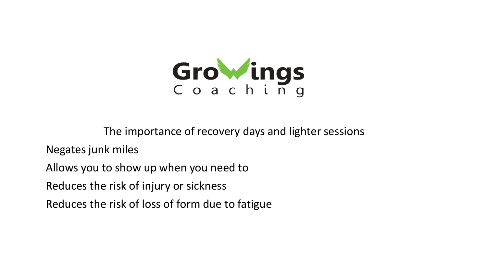

The importance of recovery days and lighter sessions

Negates junk miles

Allows you to show up when you need to

Reduces the risk of injury or sickness

Reduces the risk of loss of form due to fatigue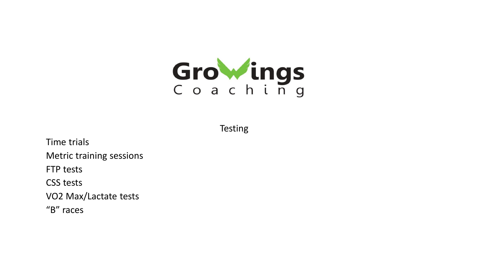

**Testing** 

Time trials Metric training sessions FTP tests CSS tests VO2 Max/Lactate tests "B" races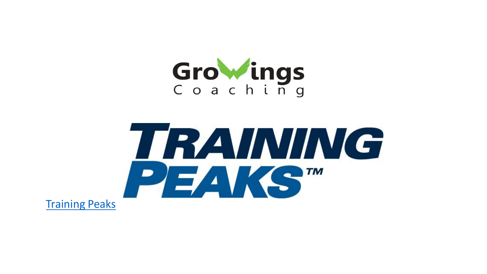

# TRAINING PEAKST

[Training Peaks](https://trainingpeaks.com/)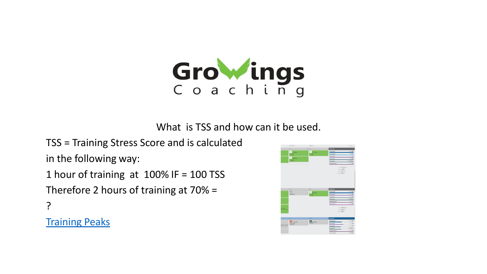

What is TSS and how can it be used.

TSS = Training Stress Score and is calculated in the following way:

1 hour of training at 100% IF = 100 TSS

Therefore 2 hours of training at 70% =

?

**[Training Peaks](https://app.trainingpeaks.com/#calendar/athletes/1746123)** 

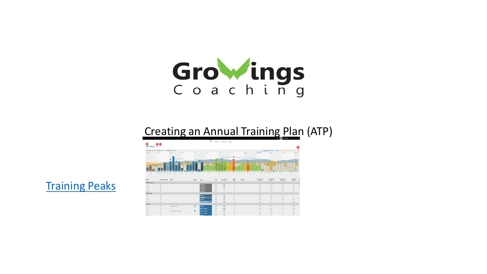

## Creating an Annual Training Plan (ATP)



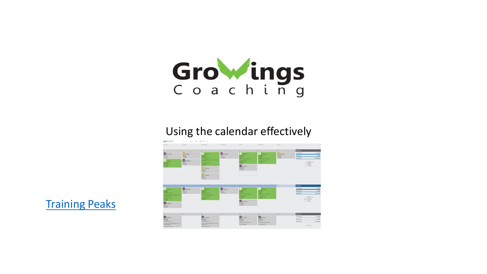

### Using the calendar effectively



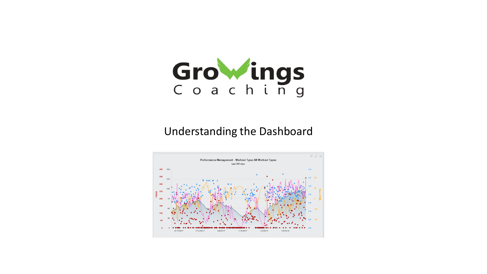

### Understanding the Dashboard

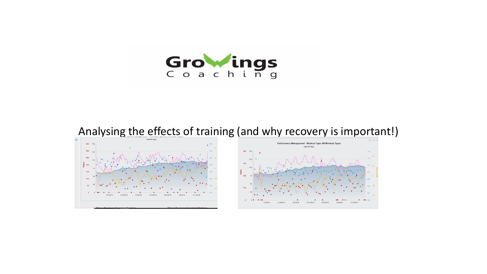

## Analysing the effects of training (and why recovery is important!)



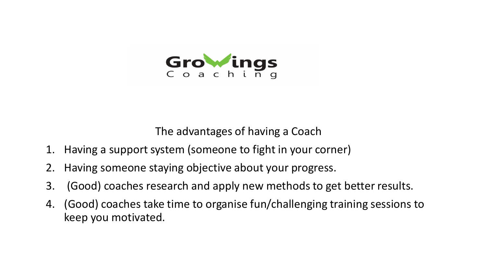

The advantages of having a Coach

- 1. Having a support system (someone to fight in your corner)
- 2. Having someone staying objective about your progress.
- 3. (Good) coaches research and apply new methods to get better results.
- 4. (Good) coaches take time to organise fun/challenging training sessions to keep you motivated.